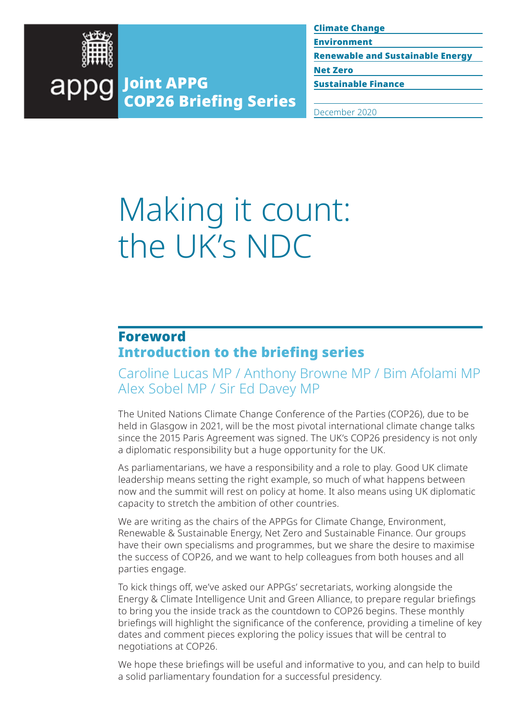

Environment

Renewable and Sustainable Energy Net Zero

Sustainable Finance

Joint APPG appg COP26 Briefing Series

December 2020

# Making it count: the UK's NDC

## Foreword Introduction to the briefing series

Caroline Lucas MP / Anthony Browne MP / Bim Afolami MP Alex Sobel MP / Sir Ed Davey MP

The United Nations Climate Change Conference of the Parties (COP26), due to be held in Glasgow in 2021, will be the most pivotal international climate change talks since the 2015 Paris Agreement was signed. The UK's COP26 presidency is not only a diplomatic responsibility but a huge opportunity for the UK.

As parliamentarians, we have a responsibility and a role to play. Good UK climate leadership means setting the right example, so much of what happens between now and the summit will rest on policy at home. It also means using UK diplomatic capacity to stretch the ambition of other countries.

We are writing as the chairs of the APPGs for Climate Change, Environment, Renewable & Sustainable Energy, Net Zero and Sustainable Finance. Our groups have their own specialisms and programmes, but we share the desire to maximise the success of COP26, and we want to help colleagues from both houses and all parties engage.

To kick things off, we've asked our APPGs' secretariats, working alongside the Energy & Climate Intelligence Unit and Green Alliance, to prepare regular briefings to bring you the inside track as the countdown to COP26 begins. These monthly briefings will highlight the significance of the conference, providing a timeline of key dates and comment pieces exploring the policy issues that will be central to negotiations at COP26.

We hope these briefings will be useful and informative to you, and can help to build a solid parliamentary foundation for a successful presidency.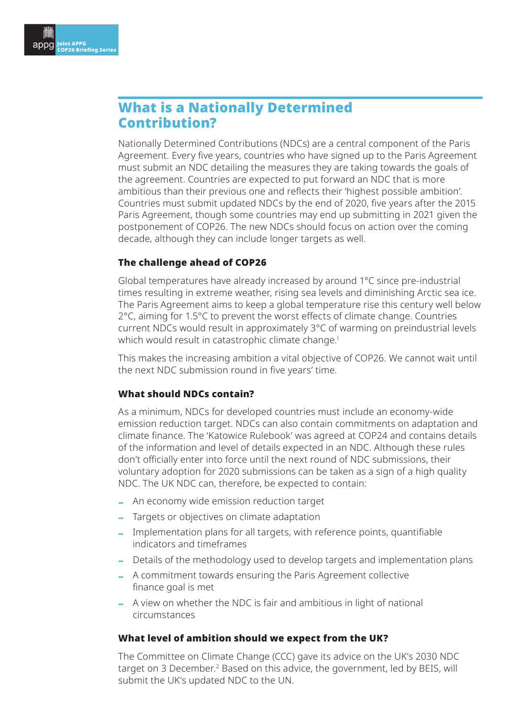## <span id="page-1-0"></span>What is a Nationally Determined Contribution?

Nationally Determined Contributions (NDCs) are a central component of the Paris Agreement. Every five years, countries who have signed up to the Paris Agreement must submit an NDC detailing the measures they are taking towards the goals of the agreement. Countries are expected to put forward an NDC that is more ambitious than their previous one and reflects their 'highest possible ambition'. Countries must submit updated NDCs by the end of 2020, five years after the 2015 Paris Agreement, though some countries may end up submitting in 2021 given the postponement of COP26. The new NDCs should focus on action over the coming decade, although they can include longer targets as well.

### The challenge ahead of COP26

Global temperatures have already increased by around 1°C since pre-industrial times resulting in extreme weather, rising sea levels and diminishing Arctic sea ice. The Paris Agreement aims to keep a global temperature rise this century well below 2°C, aiming for 1.5°C to prevent the worst effects of climate change. Countries current NDCs would result in approximately 3°C of warming on preindustrial levels which would result in catastrophic climate change.<sup>1</sup>

This makes the increasing ambition a vital objective of COP26. We cannot wait until the next NDC submission round in five years' time.

#### What should NDCs contain?

As a minimum, NDCs for developed countries must include an economy-wide emission reduction target. NDCs can also contain commitments on adaptation and climate finance. The 'Katowice Rulebook' was agreed at COP24 and contains details of the information and level of details expected in an NDC. Although these rules don't officially enter into force until the next round of NDC submissions, their voluntary adoption for 2020 submissions can be taken as a sign of a high quality NDC. The UK NDC can, therefore, be expected to contain:

- ‒ An economy wide emission reduction target
- ‒ Targets or objectives on climate adaptation
- ‒ Implementation plans for all targets, with reference points, quantifiable indicators and timeframes
- Details of the methodology used to develop targets and implementation plans
- ‒ A commitment towards ensuring the Paris Agreement collective finance goal is met
- ‒ A view on whether the NDC is fair and ambitious in light of national circumstances

#### What level of ambition should we expect from the UK?

The Committee on Climate Change (CCC) gave its advice on the UK's 2030 NDC target on 3 December.<sup>2</sup> Based on this advice, the government, led by BEIS, will submit the UK's updated NDC to the UN.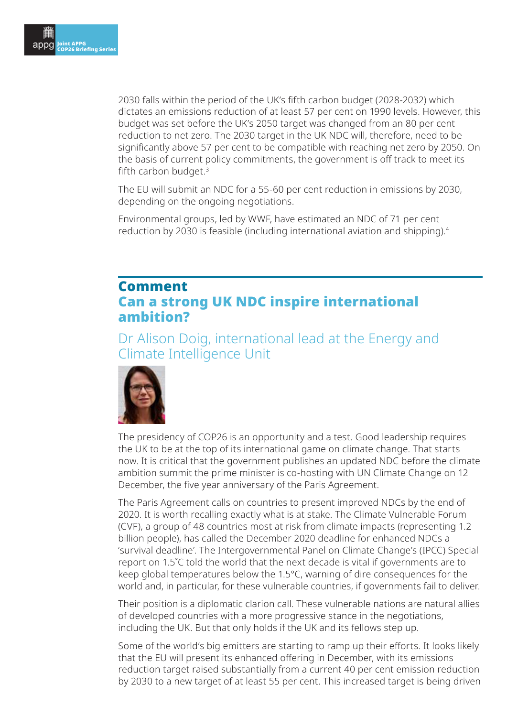<span id="page-2-0"></span>2030 falls within the period of the UK's fifth carbon budget (2028-2032) which dictates an emissions reduction of at least 57 per cent on 1990 levels. However, this budget was set before the UK's 2050 target was changed from an 80 per cent reduction to net zero. The 2030 target in the UK NDC will, therefore, need to be significantly above 57 per cent to be compatible with reaching net zero by 2050. On the basis of current policy commitments, the government is off track to meet its fifth carbon budget. $3$ 

The EU will submit an NDC for a 55-60 per cent reduction in emissions by 2030, depending on the ongoing negotiations.

Environmental groups, led by WWF, have estimated an NDC of 71 per cent reduction by 2030 is feasible (including international aviation and shipping).[4](https://www.wwf.org.uk/sites/default/files/2020-11/WWF_NDC_report.pdf)

## Comment Can a strong UK NDC inspire international ambition?

Dr Alison Doig, international lead at the Energy and Climate Intelligence Unit



The presidency of COP26 is an opportunity and a test. Good leadership requires the UK to be at the top of its international game on climate change. That starts now. It is critical that the government publishes an updated NDC before the climate ambition summit the prime minister is co-hosting with UN Climate Change on 12 December, the five year anniversary of the Paris Agreement.

The Paris Agreement calls on countries to present improved NDCs by the end of 2020. It is worth recalling exactly what is at stake. The Climate Vulnerable Forum (CVF), a group of 48 countries most at risk from climate impacts (representing 1.2 billion people), has called the December 2020 deadline for enhanced NDCs a 'survival deadline'. The Intergovernmental Panel on Climate Change's (IPCC) Special report on 1.5˚C told the world that the next decade is vital if governments are to keep global temperatures below the 1.5°C, warning of dire consequences for the world and, in particular, for these vulnerable countries, if governments fail to deliver.

Their position is a diplomatic clarion call. These vulnerable nations are natural allies of developed countries with a more progressive stance in the negotiations, including the UK. But that only holds if the UK and its fellows step up.

Some of the world's big emitters are starting to ramp up their efforts. It looks likely that the EU will present its enhanced offering in December, with its emissions reduction target raised substantially from a current 40 per cent emission reduction by 2030 to a new target of at least 55 per cent. This increased target is being driven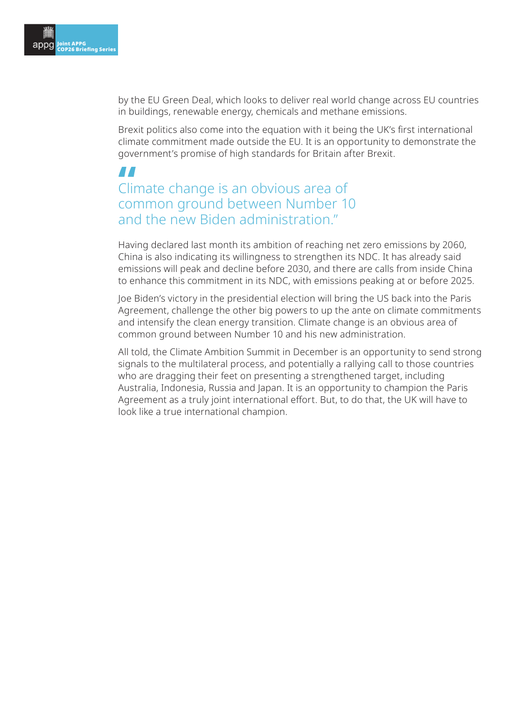by the EU Green Deal, which looks to deliver real world change across EU countries in buildings, renewable energy, chemicals and methane emissions.

Brexit politics also come into the equation with it being the UK's first international climate commitment made outside the EU. It is an opportunity to demonstrate the government's promise of high standards for Britain after Brexit.

## **"**<br>Clin<br>con Climate change is an obvious area of common ground between Number 10 and the new Biden administration"

Having declared last month its ambition of reaching net zero emissions by 2060, China is also indicating its willingness to strengthen its NDC. It has already said emissions will peak and decline before 2030, and there are calls from inside China to enhance this commitment in its NDC, with emissions peaking at or before 2025.

Joe Biden's victory in the presidential election will bring the US back into the Paris Agreement, challenge the other big powers to up the ante on climate commitments and intensify the clean energy transition. Climate change is an obvious area of common ground between Number 10 and his new administration.

All told, the Climate Ambition Summit in December is an opportunity to send strong signals to the multilateral process, and potentially a rallying call to those countries who are dragging their feet on presenting a strengthened target, including Australia, Indonesia, Russia and Japan. It is an opportunity to champion the Paris Agreement as a truly joint international effort. But, to do that, the UK will have to look like a true international champion.